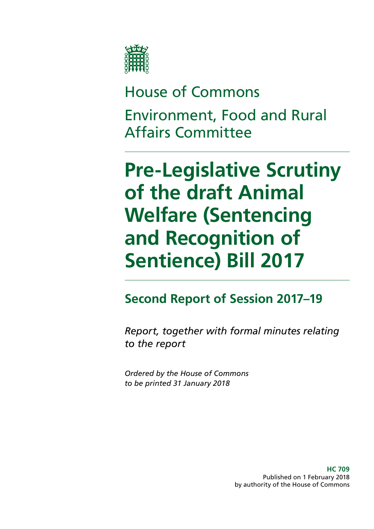

# House of Commons Environment, Food and Rural Affairs Committee

# **Pre-Legislative Scrutiny of the draft Animal Welfare (Sentencing and Recognition of Sentience) Bill 2017**

### **Second Report of Session 2017–19**

*Report, together with formal minutes relating to the report*

*Ordered by the House of Commons to be printed 31 January 2018*

> **HC 709** Published on 1 February 2018 by authority of the House of Commons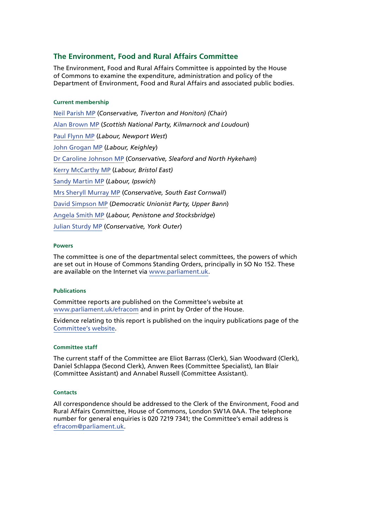#### **The Environment, Food and Rural Affairs Committee**

The Environment, Food and Rural Affairs Committee is appointed by the House of Commons to examine the expenditure, administration and policy of the Department of Environment, Food and Rural Affairs and associated public bodies.

#### **Current membership**

[Neil Parish MP](http://www.parliament.uk/biographies/commons/neil-parish/4072) (*Conservative, Tiverton and Honiton) (Chair*) [Alan Brown MP](http://www.parliament.uk/biographies/commons/alan-brown/4470) (*Scottish National Party, Kilmarnock and Loudoun*) [Paul Flynn MP](http://www.parliament.uk/biographies/commons/paul-flynn/545) (*Labour, Newport West*) [John Grogan MP](http://www.parliament.uk/biographies/commons/john-grogan/382) (*Labour, Keighley*) [Dr Caroline Johnson MP](http://www.parliament.uk/biographies/commons/dr-caroline-johnson/4592) (*Conservative, Sleaford and North Hykeham*) [Kerry McCarthy MP](http://www.parliament.uk/biographies/commons/kerry-mccarthy/1491) (*Labour, Bristol East)* [Sandy Martin MP](http://www.parliament.uk/biographies/commons/sandy-martin/4678) (*Labour, Ipswich*) [Mrs Sheryll Murray MP](http://www.parliament.uk/biographies/commons/mrs-sheryll-murray/4100) (*Conservative, South East Cornwall*) [David Simpson MP](http://www.parliament.uk/biographies/commons/david-simpson/1597) (*Democratic Unionist Party, Upper Bann*) [Angela Smith MP](http://www.parliament.uk/biographies/commons/angela-smith/1564) (*Labour, Penistone and Stocksbridge*) [Julian Sturdy MP](http://www.parliament.uk/biographies/commons/julian-sturdy/4079) (*Conservative, York Outer*)

#### **Powers**

The committee is one of the departmental select committees, the powers of which are set out in House of Commons Standing Orders, principally in SO No 152. These are available on the Internet via [www.parliament.uk.](http://www.parliament.uk)

#### **Publications**

Committee reports are published on the Committee's website at [www.parliament.uk/efracom](http://www.parliament.uk/efracom) and in print by Order of the House.

Evidence relating to this report is published on the inquiry publications page of the [Committee's website.](http://website.cms.parliament.uk/business/committees/committees-a-z/commons-select/environment-food-and-rural-affairs-committee/inquiries/parliament-2017/draft-animal-welfare-bill-17-19/publications/)

#### **Committee staff**

The current staff of the Committee are Eliot Barrass (Clerk), Sian Woodward (Clerk), Daniel Schlappa (Second Clerk), Anwen Rees (Committee Specialist), Ian Blair (Committee Assistant) and Annabel Russell (Committee Assistant).

#### **Contacts**

All correspondence should be addressed to the Clerk of the Environment, Food and Rural Affairs Committee, House of Commons, London SW1A 0AA. The telephone number for general enquiries is 020 7219 7341; the Committee's email address is [efracom@parliament.uk](mailto:efracom%40parliament.uk?subject=).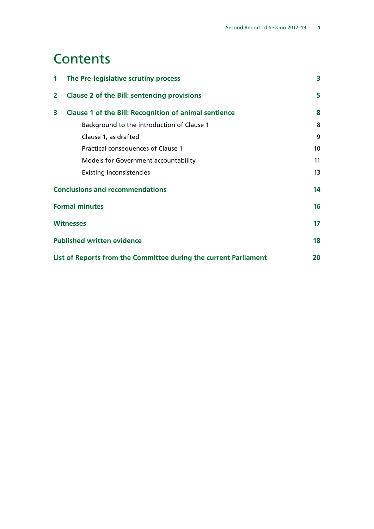### **Contents**

| 1                                                                | The Pre-legislative scrutiny process                         |    |
|------------------------------------------------------------------|--------------------------------------------------------------|----|
| $\overline{2}$                                                   | <b>Clause 2 of the Bill: sentencing provisions</b>           |    |
| 3                                                                | <b>Clause 1 of the Bill: Recognition of animal sentience</b> | 8  |
|                                                                  | Background to the introduction of Clause 1                   | 8  |
|                                                                  | Clause 1, as drafted                                         | 9  |
|                                                                  | Practical consequences of Clause 1                           | 10 |
|                                                                  | Models for Government accountability                         | 11 |
|                                                                  | <b>Existing inconsistencies</b>                              | 13 |
| <b>Conclusions and recommendations</b>                           |                                                              |    |
| <b>Formal minutes</b>                                            |                                                              | 16 |
| <b>Witnesses</b>                                                 |                                                              | 17 |
| <b>Published written evidence</b>                                |                                                              |    |
| List of Reports from the Committee during the current Parliament |                                                              |    |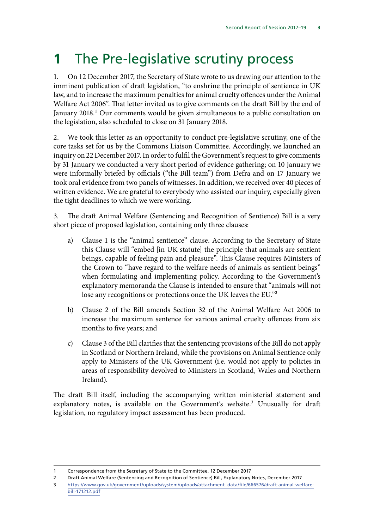# <span id="page-3-0"></span>**1** The Pre-legislative scrutiny process

1. On 12 December 2017, the Secretary of State wrote to us drawing our attention to the imminent publication of draft legislation, "to enshrine the principle of sentience in UK law, and to increase the maximum penalties for animal cruelty offences under the Animal Welfare Act 2006". That letter invited us to give comments on the draft Bill by the end of January 2018.<sup>1</sup> Our comments would be given simultaneous to a public consultation on the legislation, also scheduled to close on 31 January 2018.

2. We took this letter as an opportunity to conduct pre-legislative scrutiny, one of the core tasks set for us by the Commons Liaison Committee. Accordingly, we launched an inquiry on 22 December 2017. In order to fulfil the Government's request to give comments by 31 January we conducted a very short period of evidence gathering; on 10 January we were informally briefed by officials ("the Bill team") from Defra and on 17 January we took oral evidence from two panels of witnesses. In addition, we received over 40 pieces of written evidence. We are grateful to everybody who assisted our inquiry, especially given the tight deadlines to which we were working.

3. The draft Animal Welfare (Sentencing and Recognition of Sentience) Bill is a very short piece of proposed legislation, containing only three clauses:

- a) Clause 1 is the "animal sentience" clause. According to the Secretary of State this Clause will "embed [in UK statute] the principle that animals are sentient beings, capable of feeling pain and pleasure". This Clause requires Ministers of the Crown to "have regard to the welfare needs of animals as sentient beings" when formulating and implementing policy. According to the Government's explanatory memoranda the Clause is intended to ensure that "animals will not lose any recognitions or protections once the UK leaves the EU."2
- b) Clause 2 of the Bill amends Section 32 of the Animal Welfare Act 2006 to increase the maximum sentence for various animal cruelty offences from six months to five years; and
- c) Clause 3 of the Bill clarifies that the sentencing provisions of the Bill do not apply in Scotland or Northern Ireland, while the provisions on Animal Sentience only apply to Ministers of the UK Government (i.e. would not apply to policies in areas of responsibility devolved to Ministers in Scotland, Wales and Northern Ireland).

The draft Bill itself, including the accompanying written ministerial statement and explanatory notes, is available on the Government's website.<sup>3</sup> Unusually for draft legislation, no regulatory impact assessment has been produced.

<sup>1</sup> Correspondence from the Secretary of State to the Committee, 12 December 2017

<sup>2</sup> Draft Animal Welfare (Sentencing and Recognition of Sentience) Bill, Explanatory Notes, December 2017

<sup>3</sup> [https://www.gov.uk/government/uploads/system/uploads/attachment\\_data/file/666576/draft-animal-welfare](https://www.gov.uk/government/uploads/system/uploads/attachment_data/file/666576/draft-animal-welfare-bill-171212.pdf)[bill-171212.pdf](https://www.gov.uk/government/uploads/system/uploads/attachment_data/file/666576/draft-animal-welfare-bill-171212.pdf)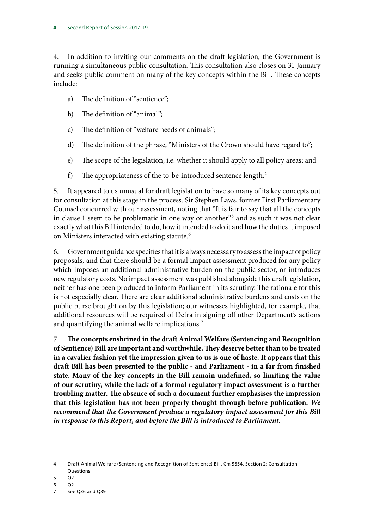4. In addition to inviting our comments on the draft legislation, the Government is running a simultaneous public consultation. This consultation also closes on 31 January and seeks public comment on many of the key concepts within the Bill. These concepts include:

- a) The definition of "sentience";
- b) The definition of "animal";
- c) The definition of "welfare needs of animals";
- d) The definition of the phrase, "Ministers of the Crown should have regard to";
- e) The scope of the legislation, i.e. whether it should apply to all policy areas; and
- f) The appropriateness of the to-be-introduced sentence length.4

5. It appeared to us unusual for draft legislation to have so many of its key concepts out for consultation at this stage in the process. Sir Stephen Laws, former First Parliamentary Counsel concurred with our assessment, noting that "It is fair to say that all the concepts in clause 1 seem to be problematic in one way or another"<sup>5</sup> and as such it was not clear exactly what this Bill intended to do, how it intended to do it and how the duties it imposed on Ministers interacted with existing statute.<sup>6</sup>

6. Government guidance specifies that it is always necessary to assess the impact of policy proposals, and that there should be a formal impact assessment produced for any policy which imposes an additional administrative burden on the public sector, or introduces new regulatory costs. No impact assessment was published alongside this draft legislation, neither has one been produced to inform Parliament in its scrutiny. The rationale for this is not especially clear. There are clear additional administrative burdens and costs on the public purse brought on by this legislation; our witnesses highlighted, for example, that additional resources will be required of Defra in signing off other Department's actions and quantifying the animal welfare implications.<sup>7</sup>

7. **The concepts enshrined in the draft Animal Welfare (Sentencing and Recognition of Sentience) Bill are important and worthwhile. They deserve better than to be treated in a cavalier fashion yet the impression given to us is one of haste. It appears that this draft Bill has been presented to the public - and Parliament - in a far from finished state. Many of the key concepts in the Bill remain undefined, so limiting the value of our scrutiny, while the lack of a formal regulatory impact assessment is a further troubling matter. The absence of such a document further emphasises the impression that this legislation has not been properly thought through before publication.** *We recommend that the Government produce a regulatory impact assessment for this Bill in response to this Report, and before the Bill is introduced to Parliament.*

6 Q2

<sup>4</sup> Draft Animal Welfare (Sentencing and Recognition of Sentience) Bill, Cm 9554, Section 2: Consultation Questions

<sup>5</sup> Q2

<sup>7</sup> See Q36 and Q39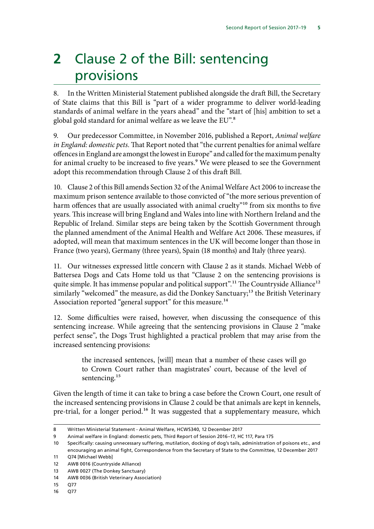# <span id="page-5-0"></span>**2** Clause 2 of the Bill: sentencing provisions

8. In the Written Ministerial Statement published alongside the draft Bill, the Secretary of State claims that this Bill is "part of a wider programme to deliver world-leading standards of animal welfare in the years ahead" and the "start of [his] ambition to set a global gold standard for animal welfare as we leave the EU".<sup>8</sup>

9. Our predecessor Committee, in November 2016, published a Report, *Animal welfare in England: domestic pets.* That Report noted that "the current penalties for animal welfare offences in England are amongst the lowest in Europe" and called for the maximum penalty for animal cruelty to be increased to five years.<sup>9</sup> We were pleased to see the Government adopt this recommendation through Clause 2 of this draft Bill.

10. Clause 2 of this Bill amends Section 32 of the Animal Welfare Act 2006 to increase the maximum prison sentence available to those convicted of "the more serious prevention of harm offences that are usually associated with animal cruelty"<sup>10</sup> from six months to five years. This increase will bring England and Wales into line with Northern Ireland and the Republic of Ireland. Similar steps are being taken by the Scottish Government through the planned amendment of the Animal Health and Welfare Act 2006. These measures, if adopted, will mean that maximum sentences in the UK will become longer than those in France (two years), Germany (three years), Spain (18 months) and Italy (three years).

11. Our witnesses expressed little concern with Clause 2 as it stands. Michael Webb of Battersea Dogs and Cats Home told us that "Clause 2 on the sentencing provisions is quite simple. It has immense popular and political support".<sup>11</sup> The Countryside Alliance<sup>12</sup> similarly "welcomed" the measure, as did the Donkey Sanctuary;<sup>13</sup> the British Veterinary Association reported "general support" for this measure.<sup>14</sup>

12. Some difficulties were raised, however, when discussing the consequence of this sentencing increase. While agreeing that the sentencing provisions in Clause 2 "make perfect sense", the Dogs Trust highlighted a practical problem that may arise from the increased sentencing provisions:

> the increased sentences, [will] mean that a number of these cases will go to Crown Court rather than magistrates' court, because of the level of sentencing.<sup>15</sup>

Given the length of time it can take to bring a case before the Crown Court, one result of the increased sentencing provisions in Clause 2 could be that animals are kept in kennels, pre-trial, for a longer period.<sup>16</sup> It was suggested that a supplementary measure, which

<sup>8</sup> Written Ministerial Statement - Animal Welfare, HCWS340, 12 December 2017

<sup>9</sup> Animal welfare in England: domestic pets, Third Report of Session 2016–17, HC 117, Para 175

<sup>10</sup> Specifically: causing unnecessary suffering, mutilation, docking of dog's tails, administration of poisons etc., and encouraging an animal fight, Correspondence from the Secretary of State to the Committee, 12 December 2017

<sup>11</sup> Q74 [Michael Webb]

<sup>12</sup> AWB 0016 (Countryside Alliance)

<sup>13</sup> AWB 0027 (The Donkey Sanctuary)

<sup>14</sup> AWB 0036 (British Veterinary Association)

<sup>15</sup> Q77

<sup>16</sup> Q77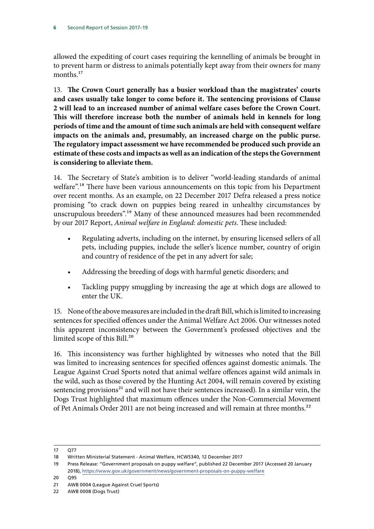allowed the expediting of court cases requiring the kennelling of animals be brought in to prevent harm or distress to animals potentially kept away from their owners for many months<sup>17</sup>

13. **The Crown Court generally has a busier workload than the magistrates' courts and cases usually take longer to come before it. The sentencing provisions of Clause 2 will lead to an increased number of animal welfare cases before the Crown Court. This will therefore increase both the number of animals held in kennels for long periods of time and the amount of time such animals are held with consequent welfare impacts on the animals and, presumably, an increased charge on the public purse. The regulatory impact assessment we have recommended be produced such provide an estimate of these costs and impacts as well as an indication of the steps the Government is considering to alleviate them.**

14. The Secretary of State's ambition is to deliver "world-leading standards of animal welfare".<sup>18</sup> There have been various announcements on this topic from his Department over recent months. As an example, on 22 December 2017 Defra released a press notice promising "to crack down on puppies being reared in unhealthy circumstances by unscrupulous breeders".19 Many of these announced measures had been recommended by our 2017 Report, *Animal welfare in England: domestic pets*. These included:

- Regulating adverts, including on the internet, by ensuring licensed sellers of all pets, including puppies, include the seller's licence number, country of origin and country of residence of the pet in any advert for sale;
- Addressing the breeding of dogs with harmful genetic disorders; and
- Tackling puppy smuggling by increasing the age at which dogs are allowed to enter the UK.

15. None of the above measures are included in the draft Bill, which is limited to increasing sentences for specified offences under the Animal Welfare Act 2006. Our witnesses noted this apparent inconsistency between the Government's professed objectives and the limited scope of this Bill.<sup>20</sup>

16. This inconsistency was further highlighted by witnesses who noted that the Bill was limited to increasing sentences for specified offences against domestic animals. The League Against Cruel Sports noted that animal welfare offences against wild animals in the wild, such as those covered by the Hunting Act 2004, will remain covered by existing sentencing provisions $21$  and will not have their sentences increased). In a similar vein, the Dogs Trust highlighted that maximum offences under the Non-Commercial Movement of Pet Animals Order 2011 are not being increased and will remain at three months.<sup>22</sup>

<sup>17</sup> Q77

<sup>18</sup> Written Ministerial Statement - Animal Welfare, HCWS340, 12 December 2017

<sup>19</sup> Press Release: "Government proposals on puppy welfare", published 22 December 2017 (Accessed 20 January 2018),<https://www.gov.uk/government/news/government-proposals-on-puppy-welfare>

<sup>20</sup> Q95

<sup>21</sup> AWB 0004 (League Against Cruel Sports)

<sup>22</sup> AWB 0008 (Dogs Trust)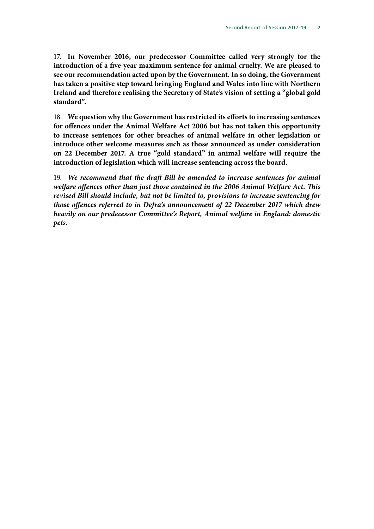17. **In November 2016, our predecessor Committee called very strongly for the introduction of a five-year maximum sentence for animal cruelty. We are pleased to see our recommendation acted upon by the Government. In so doing, the Government has taken a positive step toward bringing England and Wales into line with Northern Ireland and therefore realising the Secretary of State's vision of setting a "global gold standard".**

18. **We question why the Government has restricted its efforts to increasing sentences for offences under the Animal Welfare Act 2006 but has not taken this opportunity to increase sentences for other breaches of animal welfare in other legislation or introduce other welcome measures such as those announced as under consideration on 22 December 2017. A true "gold standard" in animal welfare will require the introduction of legislation which will increase sentencing across the board.**

19. *We recommend that the draft Bill be amended to increase sentences for animal welfare offences other than just those contained in the 2006 Animal Welfare Act. This revised Bill should include, but not be limited to, provisions to increase sentencing for those offences referred to in Defra's announcement of 22 December 2017 which drew heavily on our predecessor Committee's Report, Animal welfare in England: domestic pets.*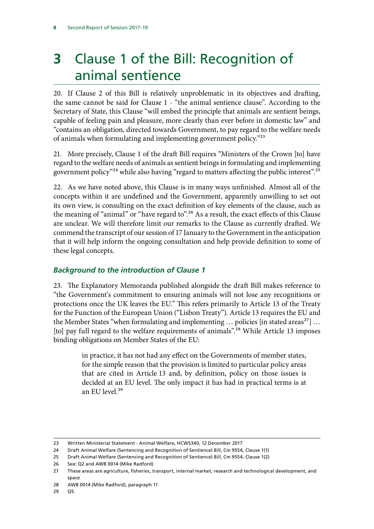# <span id="page-8-0"></span>**3** Clause 1 of the Bill: Recognition of animal sentience

20. If Clause 2 of this Bill is relatively unproblematic in its objectives and drafting, the same cannot be said for Clause 1 - "the animal sentience clause". According to the Secretary of State, this Clause "will embed the principle that animals are sentient beings, capable of feeling pain and pleasure, more clearly than ever before in domestic law" and "contains an obligation, directed towards Government, to pay regard to the welfare needs of animals when formulating and implementing government policy."<sup>23</sup>

21. More precisely, Clause 1 of the draft Bill requires "Ministers of the Crown [to] have regard to the welfare needs of animals as sentient beings in formulating and implementing government policy"24 while also having "regard to matters affecting the public interest".25

22. As we have noted above, this Clause is in many ways unfinished. Almost all of the concepts within it are undefined and the Government, apparently unwilling to set out its own view, is consulting on the exact definition of key elements of the clause, such as the meaning of "animal" or "have regard to".<sup>26</sup> As a result, the exact effects of this Clause are unclear. We will therefore limit our remarks to the Clause as currently drafted. We commend the transcript of our session of 17 January to the Government in the anticipation that it will help inform the ongoing consultation and help provide definition to some of these legal concepts.

#### *Background to the introduction of Clause 1*

23. The Explanatory Memoranda published alongside the draft Bill makes reference to "the Government's commitment to ensuring animals will not lose any recognitions or protections once the UK leaves the EU." This refers primarily to Article 13 of the Treaty for the Function of the European Union ("Lisbon Treaty"). Article 13 requires the EU and the Member States "when formulating and implementing  $\ldots$  policies [in stated areas<sup>27</sup>]  $\ldots$ [to] pay full regard to the welfare requirements of animals".<sup>28</sup> While Article 13 imposes binding obligations on Member States of the EU:

> in practice, it has not had any effect on the Governments of member states, for the simple reason that the provision is limited to particular policy areas that are cited in Article 13 and, by definition, policy on those issues is decided at an EU level. The only impact it has had in practical terms is at an EU level.<sup>29</sup>

<sup>23</sup> Written Ministerial Statement - Animal Welfare, HCWS340, 12 December 2017

<sup>24</sup> Draft Animal Welfare (Sentencing and Recognition of Sentience) Bill, Cm 9554, Clause 1(1)

<sup>25</sup> Draft Animal Welfare (Sentencing and Recognition of Sentience) Bill, Cm 9554, Clause 1(2)

<sup>26</sup> See: Q2 and AWB 0014 (Mike Radford)

<sup>27</sup> These areas are agriculture, fisheries, transport, internal market, research and technological development, and space

<sup>28</sup> AWB 0014 (Mike Radford), paragraph 11

<sup>29</sup> Q5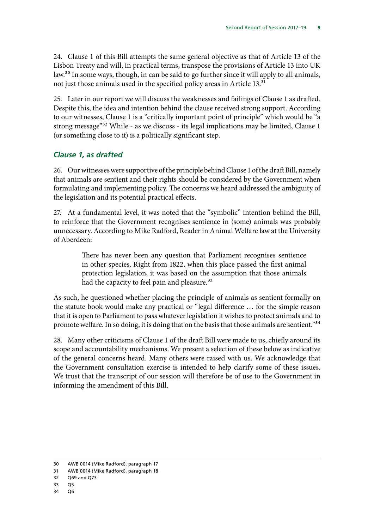<span id="page-9-0"></span>24. Clause 1 of this Bill attempts the same general objective as that of Article 13 of the Lisbon Treaty and will, in practical terms, transpose the provisions of Article 13 into UK law.<sup>30</sup> In some ways, though, in can be said to go further since it will apply to all animals, not just those animals used in the specified policy areas in Article 13.<sup>31</sup>

25. Later in our report we will discuss the weaknesses and failings of Clause 1 as drafted. Despite this, the idea and intention behind the clause received strong support. According to our witnesses, Clause 1 is a "critically important point of principle" which would be "a strong message"32 While - as we discuss - its legal implications may be limited, Clause 1 (or something close to it) is a politically significant step.

#### *Clause 1, as drafted*

26. Our witnesses were supportive of the principle behind Clause 1 of the draft Bill, namely that animals are sentient and their rights should be considered by the Government when formulating and implementing policy. The concerns we heard addressed the ambiguity of the legislation and its potential practical effects.

27. At a fundamental level, it was noted that the "symbolic" intention behind the Bill, to reinforce that the Government recognises sentience in (some) animals was probably unnecessary. According to Mike Radford, Reader in Animal Welfare law at the University of Aberdeen:

> There has never been any question that Parliament recognises sentience in other species. Right from 1822, when this place passed the first animal protection legislation, it was based on the assumption that those animals had the capacity to feel pain and pleasure.<sup>33</sup>

As such, he questioned whether placing the principle of animals as sentient formally on the statute book would make any practical or "legal difference … for the simple reason that it is open to Parliament to pass whatever legislation it wishes to protect animals and to promote welfare. In so doing, it is doing that on the basis that those animals are sentient."<sup>34</sup>

28. Many other criticisms of Clause 1 of the draft Bill were made to us, chiefly around its scope and accountability mechanisms. We present a selection of these below as indicative of the general concerns heard. Many others were raised with us. We acknowledge that the Government consultation exercise is intended to help clarify some of these issues. We trust that the transcript of our session will therefore be of use to the Government in informing the amendment of this Bill.

<sup>30</sup> AWB 0014 (Mike Radford), paragraph 17

<sup>31</sup> AWB 0014 (Mike Radford), paragraph 18

<sup>32</sup> Q69 and Q73

<sup>33</sup> Q5

<sup>34</sup> Q6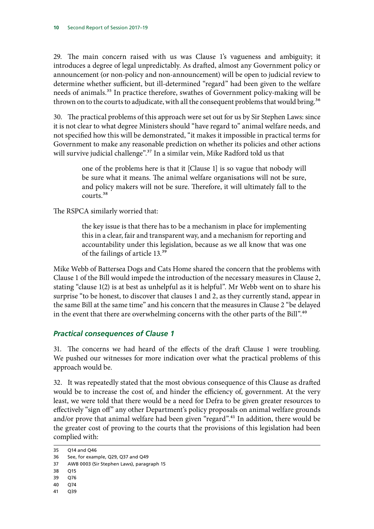<span id="page-10-0"></span>29. The main concern raised with us was Clause 1's vagueness and ambiguity; it introduces a degree of legal unpredictably. As drafted, almost any Government policy or announcement (or non-policy and non-announcement) will be open to judicial review to determine whether sufficient, but ill-determined "regard" had been given to the welfare needs of animals.<sup>35</sup> In practice therefore, swathes of Government policy-making will be thrown on to the courts to adjudicate, with all the consequent problems that would bring.<sup>36</sup>

30. The practical problems of this approach were set out for us by Sir Stephen Laws: since it is not clear to what degree Ministers should "have regard to" animal welfare needs, and not specified how this will be demonstrated, "it makes it impossible in practical terms for Government to make any reasonable prediction on whether its policies and other actions will survive judicial challenge".<sup>37</sup> In a similar vein, Mike Radford told us that

> one of the problems here is that it [Clause 1] is so vague that nobody will be sure what it means. The animal welfare organisations will not be sure, and policy makers will not be sure. Therefore, it will ultimately fall to the courts.38

The RSPCA similarly worried that:

the key issue is that there has to be a mechanism in place for implementing this in a clear, fair and transparent way, and a mechanism for reporting and accountability under this legislation, because as we all know that was one of the failings of article 13.39

Mike Webb of Battersea Dogs and Cats Home shared the concern that the problems with Clause 1 of the Bill would impede the introduction of the necessary measures in Clause 2, stating "clause 1(2) is at best as unhelpful as it is helpful". Mr Webb went on to share his surprise "to be honest, to discover that clauses 1 and 2, as they currently stand, appear in the same Bill at the same time" and his concern that the measures in Clause 2 "be delayed in the event that there are overwhelming concerns with the other parts of the Bill".<sup>40</sup>

#### *Practical consequences of Clause 1*

31. The concerns we had heard of the effects of the draft Clause 1 were troubling. We pushed our witnesses for more indication over what the practical problems of this approach would be.

32. It was repeatedly stated that the most obvious consequence of this Clause as drafted would be to increase the cost of, and hinder the efficiency of, government. At the very least, we were told that there would be a need for Defra to be given greater resources to effectively "sign off" any other Department's policy proposals on animal welfare grounds and/or prove that animal welfare had been given "regard".<sup>41</sup> In addition, there would be the greater cost of proving to the courts that the provisions of this legislation had been complied with:

- 40 Q74
- 41 Q39

<sup>35</sup> Q14 and Q46

<sup>36</sup> See, for example, Q29, Q37 and Q49

<sup>37</sup> AWB 0003 (Sir Stephen Laws), paragraph 15

<sup>38</sup> Q15

<sup>39</sup> Q76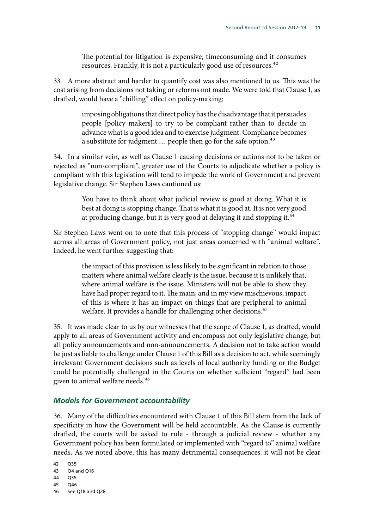The potential for litigation is expensive, timeconsuming and it consumes resources. Frankly, it is not a particularly good use of resources.<sup>42</sup>

<span id="page-11-0"></span>33. A more abstract and harder to quantify cost was also mentioned to us. This was the cost arising from decisions not taking or reforms not made. We were told that Clause 1, as drafted, would have a "chilling" effect on policy-making:

> imposing obligations that direct policy has the disadvantage that it persuades people [policy makers] to try to be compliant rather than to decide in advance what is a good idea and to exercise judgment. Compliance becomes a substitute for judgment ... people then go for the safe option.<sup>43</sup>

34. In a similar vein, as well as Clause 1 causing decisions or actions not to be taken or rejected as "non-compliant", greater use of the Courts to adjudicate whether a policy is compliant with this legislation will tend to impede the work of Government and prevent legislative change. Sir Stephen Laws cautioned us:

> You have to think about what judicial review is good at doing. What it is best at doing is stopping change. That is what it is good at. It is not very good at producing change, but it is very good at delaying it and stopping it.<sup>44</sup>

Sir Stephen Laws went on to note that this process of "stopping change" would impact across all areas of Government policy, not just areas concerned with "animal welfare". Indeed, he went further suggesting that:

> the impact of this provision is less likely to be significant in relation to those matters where animal welfare clearly is the issue, because it is unlikely that, where animal welfare is the issue, Ministers will not be able to show they have had proper regard to it. The main, and in my view mischievous, impact of this is where it has an impact on things that are peripheral to animal welfare. It provides a handle for challenging other decisions.<sup>45</sup>

35. It was made clear to us by our witnesses that the scope of Clause 1, as drafted, would apply to all areas of Government activity and encompass not only legislative change, but all policy announcements and non-announcements. A decision not to take action would be just as liable to challenge under Clause 1 of this Bill as a decision to act, while seemingly irrelevant Government decisions such as levels of local authority funding or the Budget could be potentially challenged in the Courts on whether sufficient "regard" had been given to animal welfare needs.46

#### *Models for Government accountability*

36. Many of the difficulties encountered with Clause 1 of this Bill stem from the lack of specificity in how the Government will be held accountable. As the Clause is currently drafted, the courts will be asked to rule - through a judicial review - whether any Government policy has been formulated or implemented with "regard to" animal welfare needs. As we noted above, this has many detrimental consequences: it will not be clear

<sup>42</sup> Q35

<sup>43</sup> Q4 and Q16 44 Q35

<sup>45</sup> Q46 46 See Q18 and Q28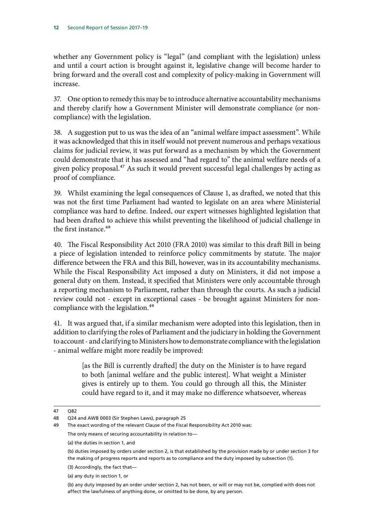whether any Government policy is "legal" (and compliant with the legislation) unless and until a court action is brought against it, legislative change will become harder to bring forward and the overall cost and complexity of policy-making in Government will increase.

37. One option to remedy this may be to introduce alternative accountability mechanisms and thereby clarify how a Government Minister will demonstrate compliance (or noncompliance) with the legislation.

38. A suggestion put to us was the idea of an "animal welfare impact assessment". While it was acknowledged that this in itself would not prevent numerous and perhaps vexatious claims for judicial review, it was put forward as a mechanism by which the Government could demonstrate that it has assessed and "had regard to" the animal welfare needs of a given policy proposal.<sup>47</sup> As such it would prevent successful legal challenges by acting as proof of compliance.

39. Whilst examining the legal consequences of Clause 1, as drafted, we noted that this was not the first time Parliament had wanted to legislate on an area where Ministerial compliance was hard to define. Indeed, our expert witnesses highlighted legislation that had been drafted to achieve this whilst preventing the likelihood of judicial challenge in the first instance.<sup>48</sup>

40. The Fiscal Responsibility Act 2010 (FRA 2010) was similar to this draft Bill in being a piece of legislation intended to reinforce policy commitments by statute. The major difference between the FRA and this Bill, however, was in its accountability mechanisms. While the Fiscal Responsibility Act imposed a duty on Ministers, it did not impose a general duty on them. Instead, it specified that Ministers were only accountable through a reporting mechanism to Parliament, rather than through the courts. As such a judicial review could not - except in exceptional cases - be brought against Ministers for noncompliance with the legislation.<sup>49</sup>

41. It was argued that, if a similar mechanism were adopted into this legislation, then in addition to clarifying the roles of Parliament and the judiciary in holding the Government to account - and clarifying to Ministers how to demonstrate compliance with the legislation - animal welfare might more readily be improved:

> [as the Bill is currently drafted] the duty on the Minister is to have regard to both [animal welfare and the public interest]. What weight a Minister gives is entirely up to them. You could go through all this, the Minister could have regard to it, and it may make no difference whatsoever, whereas

- (3) Accordingly, the fact that—
- (a) any duty in section 1, or

<sup>47</sup> Q82

<sup>48</sup> Q24 and AWB 0003 (Sir Stephen Laws), paragraph 25

<sup>49</sup> The exact wording of the relevant Clause of the Fiscal Responsibility Act 2010 was: The only means of securing accountability in relation to—

<sup>(</sup>a) the duties in section 1, and

<sup>(</sup>b) duties imposed by orders under section 2, is that established by the provision made by or under section 3 for the making of progress reports and reports as to compliance and the duty imposed by subsection (1).

<sup>(</sup>b) any duty imposed by an order under section 2, has not been, or will or may not be, complied with does not affect the lawfulness of anything done, or omitted to be done, by any person.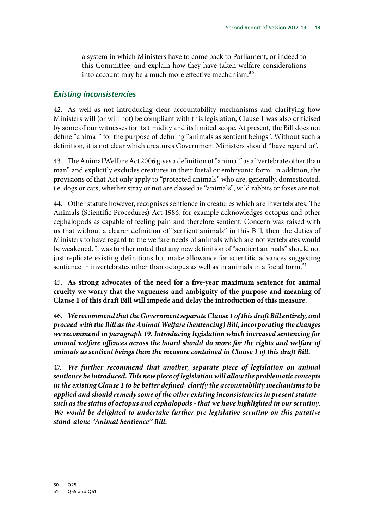<span id="page-13-0"></span>a system in which Ministers have to come back to Parliament, or indeed to this Committee, and explain how they have taken welfare considerations into account may be a much more effective mechanism.<sup>50</sup>

#### *Existing inconsistencies*

42. As well as not introducing clear accountability mechanisms and clarifying how Ministers will (or will not) be compliant with this legislation, Clause 1 was also criticised by some of our witnesses for its timidity and its limited scope. At present, the Bill does not define "animal" for the purpose of defining "animals as sentient beings". Without such a definition, it is not clear which creatures Government Ministers should "have regard to".

43. The Animal Welfare Act 2006 gives a definition of "animal" as a "vertebrate other than man" and explicitly excludes creatures in their foetal or embryonic form. In addition, the provisions of that Act only apply to "protected animals" who are, generally, domesticated, i.e. dogs or cats, whether stray or not are classed as "animals", wild rabbits or foxes are not.

44. Other statute however, recognises sentience in creatures which are invertebrates. The Animals (Scientific Procedures) Act 1986, for example acknowledges octopus and other cephalopods as capable of feeling pain and therefore sentient. Concern was raised with us that without a clearer definition of "sentient animals" in this Bill, then the duties of Ministers to have regard to the welfare needs of animals which are not vertebrates would be weakened. It was further noted that any new definition of "sentient animals" should not just replicate existing definitions but make allowance for scientific advances suggesting sentience in invertebrates other than octopus as well as in animals in a foetal form.<sup>51</sup>

45. **As strong advocates of the need for a five-year maximum sentence for animal cruelty we worry that the vagueness and ambiguity of the purpose and meaning of Clause 1 of this draft Bill will impede and delay the introduction of this measure.**

46. *We recommend that the Government separate Clause 1 of this draft Bill entirely, and proceed with the Bill as the Animal Welfare (Sentencing) Bill, incorporating the changes we recommend in paragraph 19. Introducing legislation which increased sentencing for animal welfare offences across the board should do more for the rights and welfare of animals as sentient beings than the measure contained in Clause 1 of this draft Bill.*

47. *We further recommend that another, separate piece of legislation on animal sentience be introduced. This new piece of legislation will allow the problematic concepts in the existing Clause 1 to be better defined, clarify the accountability mechanisms to be applied and should remedy some of the other existing inconsistencies in present statute such as the status of octopus and cephalopods - that we have highlighted in our scrutiny. We would be delighted to undertake further pre-legislative scrutiny on this putative stand-alone "Animal Sentience" Bill.*

<sup>51</sup> Q55 and Q61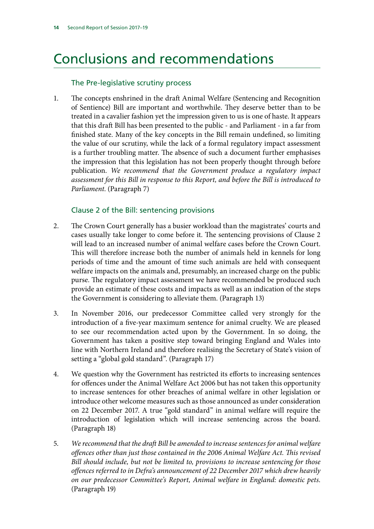## <span id="page-14-0"></span>Conclusions and recommendations

#### The Pre-legislative scrutiny process

1. The concepts enshrined in the draft Animal Welfare (Sentencing and Recognition of Sentience) Bill are important and worthwhile. They deserve better than to be treated in a cavalier fashion yet the impression given to us is one of haste. It appears that this draft Bill has been presented to the public - and Parliament - in a far from finished state. Many of the key concepts in the Bill remain undefined, so limiting the value of our scrutiny, while the lack of a formal regulatory impact assessment is a further troubling matter. The absence of such a document further emphasises the impression that this legislation has not been properly thought through before publication. *We recommend that the Government produce a regulatory impact assessment for this Bill in response to this Report, and before the Bill is introduced to Parliament*. (Paragraph 7)

#### Clause 2 of the Bill: sentencing provisions

- 2. The Crown Court generally has a busier workload than the magistrates' courts and cases usually take longer to come before it. The sentencing provisions of Clause 2 will lead to an increased number of animal welfare cases before the Crown Court. This will therefore increase both the number of animals held in kennels for long periods of time and the amount of time such animals are held with consequent welfare impacts on the animals and, presumably, an increased charge on the public purse. The regulatory impact assessment we have recommended be produced such provide an estimate of these costs and impacts as well as an indication of the steps the Government is considering to alleviate them. (Paragraph 13)
- 3. In November 2016, our predecessor Committee called very strongly for the introduction of a five-year maximum sentence for animal cruelty. We are pleased to see our recommendation acted upon by the Government. In so doing, the Government has taken a positive step toward bringing England and Wales into line with Northern Ireland and therefore realising the Secretary of State's vision of setting a "global gold standard". (Paragraph 17)
- 4. We question why the Government has restricted its efforts to increasing sentences for offences under the Animal Welfare Act 2006 but has not taken this opportunity to increase sentences for other breaches of animal welfare in other legislation or introduce other welcome measures such as those announced as under consideration on 22 December 2017. A true "gold standard" in animal welfare will require the introduction of legislation which will increase sentencing across the board. (Paragraph 18)
- 5. *We recommend that the draft Bill be amended to increase sentences for animal welfare offences other than just those contained in the 2006 Animal Welfare Act. This revised Bill should include, but not be limited to, provisions to increase sentencing for those offences referred to in Defra's announcement of 22 December 2017 which drew heavily on our predecessor Committee's Report, Animal welfare in England: domestic pets*. (Paragraph 19)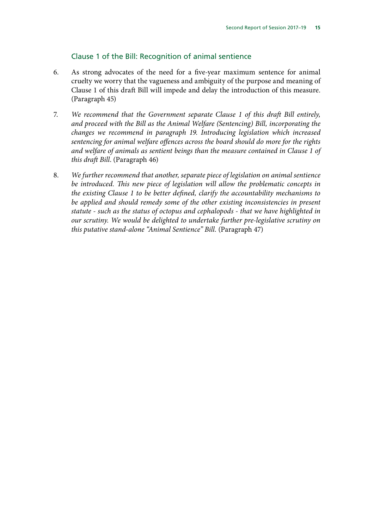#### Clause 1 of the Bill: Recognition of animal sentience

- 6. As strong advocates of the need for a five-year maximum sentence for animal cruelty we worry that the vagueness and ambiguity of the purpose and meaning of Clause 1 of this draft Bill will impede and delay the introduction of this measure. (Paragraph 45)
- 7. *We recommend that the Government separate Clause 1 of this draft Bill entirely, and proceed with the Bill as the Animal Welfare (Sentencing) Bill, incorporating the changes we recommend in paragraph 19. Introducing legislation which increased sentencing for animal welfare offences across the board should do more for the rights and welfare of animals as sentient beings than the measure contained in Clause 1 of this draft Bill*. (Paragraph 46)
- 8. *We further recommend that another, separate piece of legislation on animal sentience be introduced. This new piece of legislation will allow the problematic concepts in the existing Clause 1 to be better defined, clarify the accountability mechanisms to be applied and should remedy some of the other existing inconsistencies in present statute - such as the status of octopus and cephalopods - that we have highlighted in our scrutiny. We would be delighted to undertake further pre-legislative scrutiny on this putative stand-alone "Animal Sentience" Bill.* (Paragraph 47)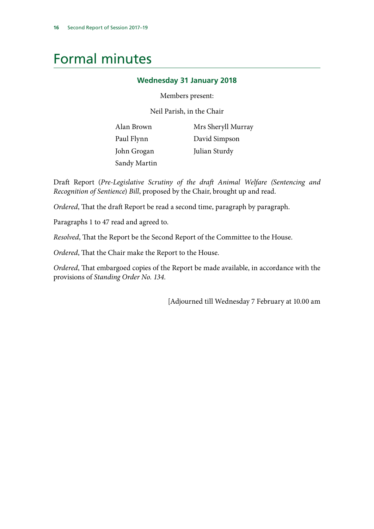### <span id="page-16-0"></span>Formal minutes

#### **Wednesday 31 January 2018**

#### Members present:

Neil Parish, in the Chair

| Alan Brown   | Mrs Sheryll Murray |
|--------------|--------------------|
| Paul Flynn   | David Simpson      |
| John Grogan  | Julian Sturdy      |
| Sandy Martin |                    |

Draft Report (*Pre-Legislative Scrutiny of the draft Animal Welfare (Sentencing and Recognition of Sentience*) *Bill*, proposed by the Chair, brought up and read.

*Ordered*, That the draft Report be read a second time, paragraph by paragraph.

Paragraphs 1 to 47 read and agreed to.

*Resolved*, That the Report be the Second Report of the Committee to the House.

*Ordered*, That the Chair make the Report to the House.

*Ordered*, That embargoed copies of the Report be made available, in accordance with the provisions of *Standing Order No. 134.*

[Adjourned till Wednesday 7 February at 10.00 am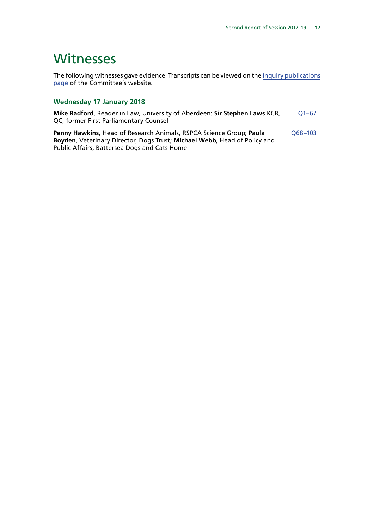### <span id="page-17-0"></span>**Witnesses**

The following witnesses gave evidence. Transcripts can be viewed on the [inquiry publications](https://www.parliament.uk/business/committees/committees-a-z/commons-select/environment-food-and-rural-affairs-committee/inquiries/parliament-2017/draft-animal-welfare-bill-17-19/publications/) [page](https://www.parliament.uk/business/committees/committees-a-z/commons-select/environment-food-and-rural-affairs-committee/inquiries/parliament-2017/draft-animal-welfare-bill-17-19/publications/) of the Committee's website.

#### **Wednesday 17 January 2018**

**Mike Radford**, Reader in Law, University of Aberdeen; **Sir Stephen Laws** KCB, QC, former First Parliamentary Counsel [Q1–67](http://data.parliament.uk/writtenevidence/committeeevidence.svc/evidencedocument/environment-food-and-rural-affairs-committee/draft-animal-welfare-sentencing-and-recognition-of-sentience-bill-2017/oral/77281.html)

**Penny Hawkins**, Head of Research Animals, RSPCA Science Group; **Paula Boyden**, Veterinary Director, Dogs Trust; **Michael Webb**, Head of Policy and Public Affairs, Battersea Dogs and Cats Home [Q68–103](http://data.parliament.uk/writtenevidence/committeeevidence.svc/evidencedocument/environment-food-and-rural-affairs-committee/draft-animal-welfare-sentencing-and-recognition-of-sentience-bill-2017/oral/77281.html)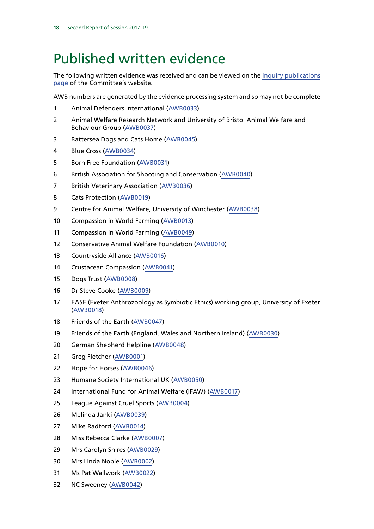### <span id="page-18-0"></span>Published written evidence

The following written evidence was received and can be viewed on the [inquiry publications](http://website.cms.parliament.uk/business/committees/committees-a-z/commons-select/environment-food-and-rural-affairs-committee/inquiries/parliament-2017/draft-animal-welfare-bill-17-19/publications/) [page](http://website.cms.parliament.uk/business/committees/committees-a-z/commons-select/environment-food-and-rural-affairs-committee/inquiries/parliament-2017/draft-animal-welfare-bill-17-19/publications/) of the Committee's website.

AWB numbers are generated by the evidence processing system and so may not be complete

- Animal Defenders International [\(AWB0033\)](http://data.parliament.uk/WrittenEvidence/CommitteeEvidence.svc/EvidenceDocument/Environment,%20Food%20and%20Rural%20Affairs/Draft%20Animal%20Welfare%20Sentencing%20and%20Recognition%20of%20Sentience%20Bill%202017/written/76978.html)
- Animal Welfare Research Network and University of Bristol Animal Welfare and Behaviour Group [\(AWB0037\)](http://data.parliament.uk/WrittenEvidence/CommitteeEvidence.svc/EvidenceDocument/Environment,%20Food%20and%20Rural%20Affairs/Draft%20Animal%20Welfare%20Sentencing%20and%20Recognition%20of%20Sentience%20Bill%202017/written/76999.html)
- Battersea Dogs and Cats Home ([AWB0045\)](http://data.parliament.uk/WrittenEvidence/CommitteeEvidence.svc/EvidenceDocument/Environment,%20Food%20and%20Rural%20Affairs/Draft%20Animal%20Welfare%20Sentencing%20and%20Recognition%20of%20Sentience%20Bill%202017/written/77439.html)
- Blue Cross ([AWB0034\)](http://data.parliament.uk/WrittenEvidence/CommitteeEvidence.svc/EvidenceDocument/Environment,%20Food%20and%20Rural%20Affairs/Draft%20Animal%20Welfare%20Sentencing%20and%20Recognition%20of%20Sentience%20Bill%202017/written/76992.html)
- Born Free Foundation ([AWB0031](http://data.parliament.uk/WrittenEvidence/CommitteeEvidence.svc/EvidenceDocument/Environment,%20Food%20and%20Rural%20Affairs/Draft%20Animal%20Welfare%20Sentencing%20and%20Recognition%20of%20Sentience%20Bill%202017/written/76972.html))
- British Association for Shooting and Conservation [\(AWB0040\)](http://data.parliament.uk/WrittenEvidence/CommitteeEvidence.svc/EvidenceDocument/Environment,%20Food%20and%20Rural%20Affairs/Draft%20Animal%20Welfare%20Sentencing%20and%20Recognition%20of%20Sentience%20Bill%202017/written/77088.html)
- British Veterinary Association ([AWB0036\)](http://data.parliament.uk/WrittenEvidence/CommitteeEvidence.svc/EvidenceDocument/Environment,%20Food%20and%20Rural%20Affairs/Draft%20Animal%20Welfare%20Sentencing%20and%20Recognition%20of%20Sentience%20Bill%202017/written/76997.html)
- Cats Protection ([AWB0019](http://data.parliament.uk/WrittenEvidence/CommitteeEvidence.svc/EvidenceDocument/Environment,%20Food%20and%20Rural%20Affairs/Draft%20Animal%20Welfare%20Sentencing%20and%20Recognition%20of%20Sentience%20Bill%202017/written/76891.html))
- Centre for Animal Welfare, University of Winchester [\(AWB0038](http://data.parliament.uk/WrittenEvidence/CommitteeEvidence.svc/EvidenceDocument/Environment,%20Food%20and%20Rural%20Affairs/Draft%20Animal%20Welfare%20Sentencing%20and%20Recognition%20of%20Sentience%20Bill%202017/written/77004.html))
- Compassion in World Farming ([AWB0013\)](http://data.parliament.uk/WrittenEvidence/CommitteeEvidence.svc/EvidenceDocument/Environment,%20Food%20and%20Rural%20Affairs/Draft%20Animal%20Welfare%20Sentencing%20and%20Recognition%20of%20Sentience%20Bill%202017/written/76763.html)
- Compassion in World Farming ([AWB0049\)](http://data.parliament.uk/WrittenEvidence/CommitteeEvidence.svc/EvidenceDocument/Environment,%20Food%20and%20Rural%20Affairs/Draft%20Animal%20Welfare%20Sentencing%20and%20Recognition%20of%20Sentience%20Bill%202017/written/77541.html)
- Conservative Animal Welfare Foundation [\(AWB0010\)](http://data.parliament.uk/WrittenEvidence/CommitteeEvidence.svc/EvidenceDocument/Environment,%20Food%20and%20Rural%20Affairs/Draft%20Animal%20Welfare%20Sentencing%20and%20Recognition%20of%20Sentience%20Bill%202017/written/76748.html)
- Countryside Alliance ([AWB0016](http://data.parliament.uk/WrittenEvidence/CommitteeEvidence.svc/EvidenceDocument/Environment,%20Food%20and%20Rural%20Affairs/Draft%20Animal%20Welfare%20Sentencing%20and%20Recognition%20of%20Sentience%20Bill%202017/written/76864.html))
- Crustacean Compassion [\(AWB0041](http://data.parliament.uk/WrittenEvidence/CommitteeEvidence.svc/EvidenceDocument/Environment,%20Food%20and%20Rural%20Affairs/Draft%20Animal%20Welfare%20Sentencing%20and%20Recognition%20of%20Sentience%20Bill%202017/written/77110.html))
- Dogs Trust [\(AWB0008](http://data.parliament.uk/WrittenEvidence/CommitteeEvidence.svc/EvidenceDocument/Environment,%20Food%20and%20Rural%20Affairs/Draft%20Animal%20Welfare%20Sentencing%20and%20Recognition%20of%20Sentience%20Bill%202017/written/76727.html))
- Dr Steve Cooke [\(AWB0009\)](http://data.parliament.uk/WrittenEvidence/CommitteeEvidence.svc/EvidenceDocument/Environment,%20Food%20and%20Rural%20Affairs/Draft%20Animal%20Welfare%20Sentencing%20and%20Recognition%20of%20Sentience%20Bill%202017/written/76747.html)
- EASE (Exeter Anthrozoology as Symbiotic Ethics) working group, University of Exeter ([AWB0018](http://data.parliament.uk/WrittenEvidence/CommitteeEvidence.svc/EvidenceDocument/Environment,%20Food%20and%20Rural%20Affairs/Draft%20Animal%20Welfare%20Sentencing%20and%20Recognition%20of%20Sentience%20Bill%202017/written/76881.html))
- Friends of the Earth [\(AWB0047](http://data.parliament.uk/WrittenEvidence/CommitteeEvidence.svc/EvidenceDocument/Environment,%20Food%20and%20Rural%20Affairs/Draft%20Animal%20Welfare%20Sentencing%20and%20Recognition%20of%20Sentience%20Bill%202017/written/77479.html))
- Friends of the Earth (England, Wales and Northern Ireland) [\(AWB0030](http://data.parliament.uk/WrittenEvidence/CommitteeEvidence.svc/EvidenceDocument/Environment,%20Food%20and%20Rural%20Affairs/Draft%20Animal%20Welfare%20Sentencing%20and%20Recognition%20of%20Sentience%20Bill%202017/written/76963.html))
- German Shepherd Helpline [\(AWB0048\)](http://data.parliament.uk/WrittenEvidence/CommitteeEvidence.svc/EvidenceDocument/Environment,%20Food%20and%20Rural%20Affairs/Draft%20Animal%20Welfare%20Sentencing%20and%20Recognition%20of%20Sentience%20Bill%202017/written/77480.html)
- Greg Fletcher ([AWB0001](http://data.parliament.uk/WrittenEvidence/CommitteeEvidence.svc/EvidenceDocument/Environment,%20Food%20and%20Rural%20Affairs/Draft%20Animal%20Welfare%20Sentencing%20and%20Recognition%20of%20Sentience%20Bill%202017/written/76204.html))
- Hope for Horses ([AWB0046\)](http://data.parliament.uk/WrittenEvidence/CommitteeEvidence.svc/EvidenceDocument/Environment,%20Food%20and%20Rural%20Affairs/Draft%20Animal%20Welfare%20Sentencing%20and%20Recognition%20of%20Sentience%20Bill%202017/written/77467.html)
- Humane Society International UK ([AWB0050](http://data.parliament.uk/WrittenEvidence/CommitteeEvidence.svc/EvidenceDocument/Environment,%20Food%20and%20Rural%20Affairs/Draft%20Animal%20Welfare%20Sentencing%20and%20Recognition%20of%20Sentience%20Bill%202017/written/77679.html))
- International Fund for Animal Welfare (IFAW) ([AWB0017\)](http://data.parliament.uk/WrittenEvidence/CommitteeEvidence.svc/EvidenceDocument/Environment,%20Food%20and%20Rural%20Affairs/Draft%20Animal%20Welfare%20Sentencing%20and%20Recognition%20of%20Sentience%20Bill%202017/written/76874.html)
- League Against Cruel Sports [\(AWB0004](http://data.parliament.uk/WrittenEvidence/CommitteeEvidence.svc/EvidenceDocument/Environment,%20Food%20and%20Rural%20Affairs/Draft%20Animal%20Welfare%20Sentencing%20and%20Recognition%20of%20Sentience%20Bill%202017/written/76675.html))
- Melinda Janki ([AWB0039](http://data.parliament.uk/WrittenEvidence/CommitteeEvidence.svc/EvidenceDocument/Environment,%20Food%20and%20Rural%20Affairs/Draft%20Animal%20Welfare%20Sentencing%20and%20Recognition%20of%20Sentience%20Bill%202017/written/77008.html))
- Mike Radford [\(AWB0014](http://data.parliament.uk/WrittenEvidence/CommitteeEvidence.svc/EvidenceDocument/Environment,%20Food%20and%20Rural%20Affairs/Draft%20Animal%20Welfare%20Sentencing%20and%20Recognition%20of%20Sentience%20Bill%202017/written/76767.html))
- Miss Rebecca Clarke ([AWB0007\)](http://data.parliament.uk/WrittenEvidence/CommitteeEvidence.svc/EvidenceDocument/Environment,%20Food%20and%20Rural%20Affairs/Draft%20Animal%20Welfare%20Sentencing%20and%20Recognition%20of%20Sentience%20Bill%202017/written/76714.html)
- Mrs Carolyn Shires ([AWB0029\)](http://data.parliament.uk/WrittenEvidence/CommitteeEvidence.svc/EvidenceDocument/Environment,%20Food%20and%20Rural%20Affairs/Draft%20Animal%20Welfare%20Sentencing%20and%20Recognition%20of%20Sentience%20Bill%202017/written/76944.html)
- Mrs Linda Noble [\(AWB0002](http://data.parliament.uk/WrittenEvidence/CommitteeEvidence.svc/EvidenceDocument/Environment,%20Food%20and%20Rural%20Affairs/Draft%20Animal%20Welfare%20Sentencing%20and%20Recognition%20of%20Sentience%20Bill%202017/written/76253.html))
- Ms Pat Wallwork [\(AWB0022](http://data.parliament.uk/WrittenEvidence/CommitteeEvidence.svc/EvidenceDocument/Environment,%20Food%20and%20Rural%20Affairs/Draft%20Animal%20Welfare%20Sentencing%20and%20Recognition%20of%20Sentience%20Bill%202017/written/76902.html))
- NC Sweeney ([AWB0042](http://data.parliament.uk/WrittenEvidence/CommitteeEvidence.svc/EvidenceDocument/Environment,%20Food%20and%20Rural%20Affairs/Draft%20Animal%20Welfare%20Sentencing%20and%20Recognition%20of%20Sentience%20Bill%202017/written/77116.html))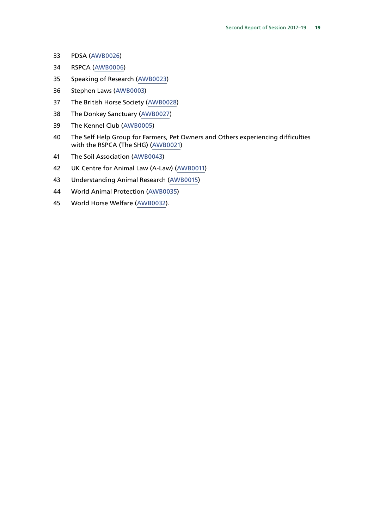- PDSA ([AWB0026](http://data.parliament.uk/WrittenEvidence/CommitteeEvidence.svc/EvidenceDocument/Environment,%20Food%20and%20Rural%20Affairs/Draft%20Animal%20Welfare%20Sentencing%20and%20Recognition%20of%20Sentience%20Bill%202017/written/76911.html))
- RSPCA [\(AWB0006\)](http://data.parliament.uk/WrittenEvidence/CommitteeEvidence.svc/EvidenceDocument/Environment,%20Food%20and%20Rural%20Affairs/Draft%20Animal%20Welfare%20Sentencing%20and%20Recognition%20of%20Sentience%20Bill%202017/written/76684.html)
- Speaking of Research ([AWB0023](http://data.parliament.uk/WrittenEvidence/CommitteeEvidence.svc/EvidenceDocument/Environment,%20Food%20and%20Rural%20Affairs/Draft%20Animal%20Welfare%20Sentencing%20and%20Recognition%20of%20Sentience%20Bill%202017/written/76903.html))
- Stephen Laws ([AWB0003\)](http://data.parliament.uk/WrittenEvidence/CommitteeEvidence.svc/EvidenceDocument/Environment,%20Food%20and%20Rural%20Affairs/Draft%20Animal%20Welfare%20Sentencing%20and%20Recognition%20of%20Sentience%20Bill%202017/written/76671.html)
- The British Horse Society [\(AWB0028](http://data.parliament.uk/WrittenEvidence/CommitteeEvidence.svc/EvidenceDocument/Environment,%20Food%20and%20Rural%20Affairs/Draft%20Animal%20Welfare%20Sentencing%20and%20Recognition%20of%20Sentience%20Bill%202017/written/76926.html))
- The Donkey Sanctuary [\(AWB0027](http://data.parliament.uk/WrittenEvidence/CommitteeEvidence.svc/EvidenceDocument/Environment,%20Food%20and%20Rural%20Affairs/Draft%20Animal%20Welfare%20Sentencing%20and%20Recognition%20of%20Sentience%20Bill%202017/written/76920.html))
- The Kennel Club [\(AWB0005\)](http://data.parliament.uk/WrittenEvidence/CommitteeEvidence.svc/EvidenceDocument/Environment,%20Food%20and%20Rural%20Affairs/Draft%20Animal%20Welfare%20Sentencing%20and%20Recognition%20of%20Sentience%20Bill%202017/written/76676.html)
- The Self Help Group for Farmers, Pet Owners and Others experiencing difficulties with the RSPCA (The SHG) [\(AWB0021](http://data.parliament.uk/WrittenEvidence/CommitteeEvidence.svc/EvidenceDocument/Environment,%20Food%20and%20Rural%20Affairs/Draft%20Animal%20Welfare%20Sentencing%20and%20Recognition%20of%20Sentience%20Bill%202017/written/76897.html))
- The Soil Association ([AWB0043\)](http://data.parliament.uk/WrittenEvidence/CommitteeEvidence.svc/EvidenceDocument/Environment,%20Food%20and%20Rural%20Affairs/Draft%20Animal%20Welfare%20Sentencing%20and%20Recognition%20of%20Sentience%20Bill%202017/written/77132.html)
- UK Centre for Animal Law (A-Law) ([AWB0011\)](http://data.parliament.uk/WrittenEvidence/CommitteeEvidence.svc/EvidenceDocument/Environment,%20Food%20and%20Rural%20Affairs/Draft%20Animal%20Welfare%20Sentencing%20and%20Recognition%20of%20Sentience%20Bill%202017/written/76753.html)
- Understanding Animal Research [\(AWB0015](http://data.parliament.uk/WrittenEvidence/CommitteeEvidence.svc/EvidenceDocument/Environment,%20Food%20and%20Rural%20Affairs/Draft%20Animal%20Welfare%20Sentencing%20and%20Recognition%20of%20Sentience%20Bill%202017/written/76847.html))
- World Animal Protection ([AWB0035\)](http://data.parliament.uk/WrittenEvidence/CommitteeEvidence.svc/EvidenceDocument/Environment,%20Food%20and%20Rural%20Affairs/Draft%20Animal%20Welfare%20Sentencing%20and%20Recognition%20of%20Sentience%20Bill%202017/written/76993.html)
- World Horse Welfare ([AWB0032\)](http://data.parliament.uk/WrittenEvidence/CommitteeEvidence.svc/EvidenceDocument/Environment,%20Food%20and%20Rural%20Affairs/Draft%20Animal%20Welfare%20Sentencing%20and%20Recognition%20of%20Sentience%20Bill%202017/written/76976.html).